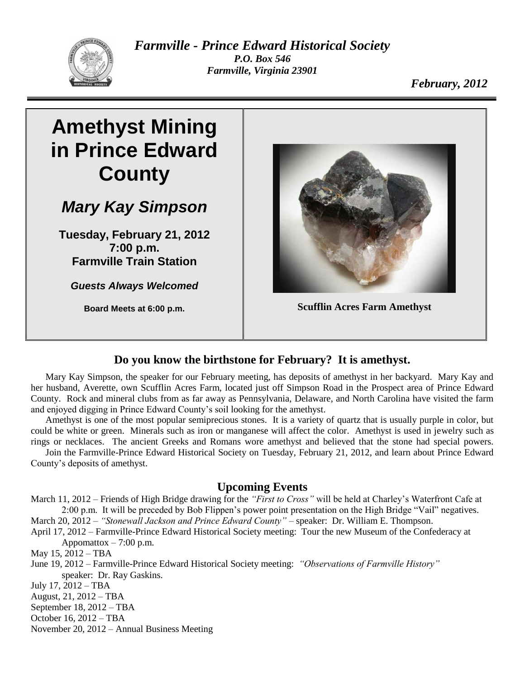

*Farmville - Prince Edward Historical Society P.O. Box 546 Farmville, Virginia 23901*

*February, 2012*

# **Amethyst Mining in Prince Edward County**

## *Mary Kay Simpson*

**Tuesday, February 21, 2012 7:00 p.m. Farmville Train Station**

*Guests Always Welcomed*



**Board Meets at 6:00 p.m. Scufflin Acres Farm Amethyst** 

### **Do you know the birthstone for February? It is amethyst.**

Mary Kay Simpson, the speaker for our February meeting, has deposits of amethyst in her backyard. Mary Kay and her husband, Averette, own Scufflin Acres Farm, located just off Simpson Road in the Prospect area of Prince Edward County. Rock and mineral clubs from as far away as Pennsylvania, Delaware, and North Carolina have visited the farm and enjoyed digging in Prince Edward County's soil looking for the amethyst.

Amethyst is one of the most popular semiprecious stones. It is a variety of quartz that is usually purple in color, but could be white or green. Minerals such as iron or manganese will affect the color. Amethyst is used in jewelry such as rings or necklaces. The ancient Greeks and Romans wore amethyst and believed that the stone had special powers.

Join the Farmville-Prince Edward Historical Society on Tuesday, February 21, 2012, and learn about Prince Edward County's deposits of amethyst.

#### **Upcoming Events**

March 11, 2012 – Friends of High Bridge drawing for the *"First to Cross"* will be held at Charley's Waterfront Cafe at 2:00 p.m. It will be preceded by Bob Flippen's power point presentation on the High Bridge "Vail" negatives.

March 20, 2012 – *"Stonewall Jackson and Prince Edward County"* – speaker: Dr. William E. Thompson.

April 17, 2012 – Farmville-Prince Edward Historical Society meeting: Tour the new Museum of the Confederacy at Appomattox  $-7:00$  p.m.

May 15, 2012 – TBA

June 19, 2012 – Farmville-Prince Edward Historical Society meeting: *"Observations of Farmville History"* speaker: Dr. Ray Gaskins.

July 17, 2012 – TBA

August, 21, 2012 – TBA

September 18, 2012 – TBA

October 16, 2012 – TBA

November 20, 2012 – Annual Business Meeting